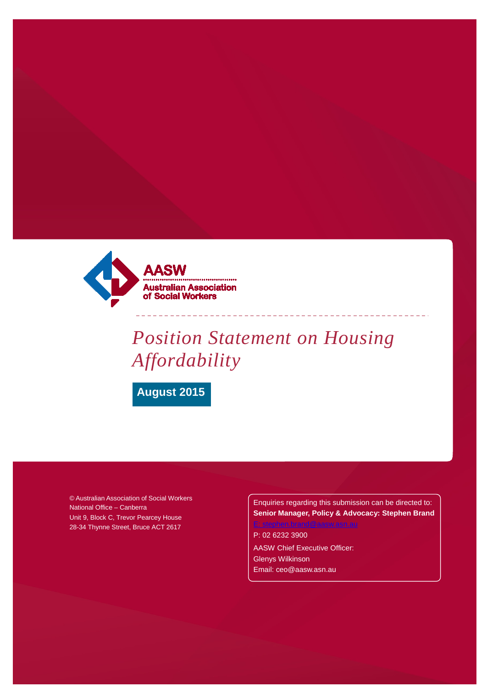

# *Position Statement on Housing Affordability*

**August 2015**

© Australian Association of Social Workers National Office – Canberra Unit 9, Block C, Trevor Pearcey House 28-34 Thynne Street, Bruce ACT 2617

Enquiries regarding this submission can be directed to: **Senior Manager, Policy & Advocacy: Stephen Brand**

P: 02 6232 3900

AASW Chief Executive Officer: Glenys Wilkinson [Email: ceo@aasw.asn.au](mailto:ceo@aasw.asn.au)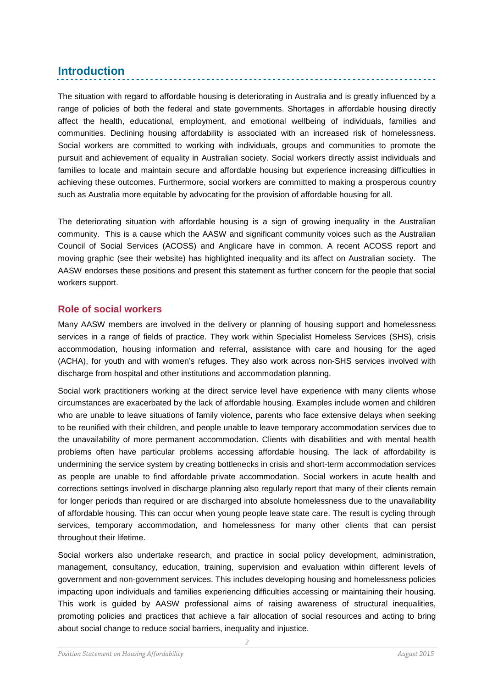# **Introduction**

The situation with regard to affordable housing is deteriorating in Australia and is greatly influenced by a range of policies of both the federal and state governments. Shortages in affordable housing directly affect the health, educational, employment, and emotional wellbeing of individuals, families and communities. Declining housing affordability is associated with an increased risk of homelessness. Social workers are committed to working with individuals, groups and communities to promote the pursuit and achievement of equality in Australian society. Social workers directly assist individuals and families to locate and maintain secure and affordable housing but experience increasing difficulties in achieving these outcomes. Furthermore, social workers are committed to making a prosperous country such as Australia more equitable by advocating for the provision of affordable housing for all.

The deteriorating situation with affordable housing is a sign of growing inequality in the Australian community. This is a cause which the AASW and significant community voices such as the Australian Council of Social Services (ACOSS) and Anglicare have in common. A recent ACOSS report and moving graphic (see their website) has highlighted inequality and its affect on Australian society. The AASW endorses these positions and present this statement as further concern for the people that social workers support.

# **Role of social workers**

Many AASW members are involved in the delivery or planning of housing support and homelessness services in a range of fields of practice. They work within Specialist Homeless Services (SHS), crisis accommodation, housing information and referral, assistance with care and housing for the aged (ACHA), for youth and with women's refuges. They also work across non-SHS services involved with discharge from hospital and other institutions and accommodation planning.

Social work practitioners working at the direct service level have experience with many clients whose circumstances are exacerbated by the lack of affordable housing. Examples include women and children who are unable to leave situations of family violence, parents who face extensive delays when seeking to be reunified with their children, and people unable to leave temporary accommodation services due to the unavailability of more permanent accommodation. Clients with disabilities and with mental health problems often have particular problems accessing affordable housing. The lack of affordability is undermining the service system by creating bottlenecks in crisis and short-term accommodation services as people are unable to find affordable private accommodation. Social workers in acute health and corrections settings involved in discharge planning also regularly report that many of their clients remain for longer periods than required or are discharged into absolute homelessness due to the unavailability of affordable housing. This can occur when young people leave state care. The result is cycling through services, temporary accommodation, and homelessness for many other clients that can persist throughout their lifetime.

Social workers also undertake research, and practice in social policy development, administration, management, consultancy, education, training, supervision and evaluation within different levels of government and non-government services. This includes developing housing and homelessness policies impacting upon individuals and families experiencing difficulties accessing or maintaining their housing. This work is guided by AASW professional aims of raising awareness of structural inequalities, promoting policies and practices that achieve a fair allocation of social resources and acting to bring about social change to reduce social barriers, inequality and injustice.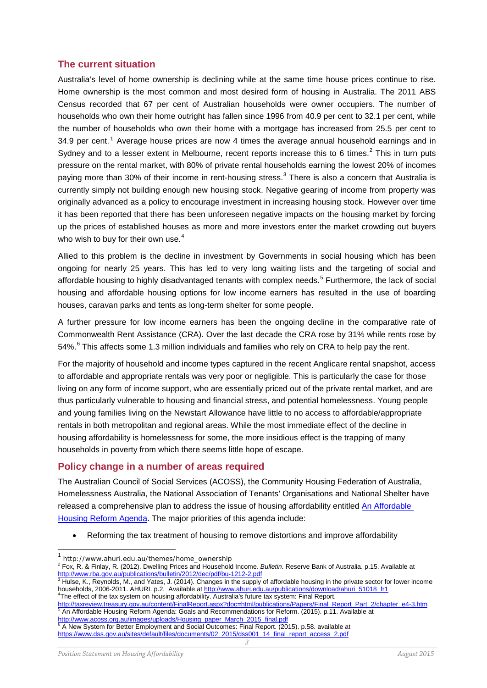# **The current situation**

Australia's level of home ownership is declining while at the same time house prices continue to rise. Home ownership is the most common and most desired form of housing in Australia. The 2011 ABS Census recorded that 67 per cent of Australian households were owner occupiers. The number of households who own their home outright has fallen since 1996 from 40.9 per cent to 32.1 per cent, while the number of households who own their home with a mortgage has increased from 25.5 per cent to 34.9 per cent. [1](#page-2-0) Average house prices are now 4 times the average annual household earnings and in Sydney and to a lesser extent in Melbourne, recent reports increase this to 6 times.<sup>[2](#page-2-1)</sup> This in turn puts pressure on the rental market, with 80% of private rental households earning the lowest 20% of incomes paying more than 30% of their income in rent-housing stress. [3](#page-2-2) There is also a concern that Australia is currently simply not building enough new housing stock. Negative gearing of income from property was originally advanced as a policy to encourage investment in increasing housing stock. However over time it has been reported that there has been unforeseen negative impacts on the housing market by forcing up the prices of established houses as more and more investors enter the market crowding out buyers who wish to buy for their own use.<sup>[4](#page-2-3)</sup>

Allied to this problem is the decline in investment by Governments in social housing which has been ongoing for nearly 25 years. This has led to very long waiting lists and the targeting of social and affordable housing to highly disadvantaged tenants with complex needs.<sup>[5](#page-2-4)</sup> Furthermore, the lack of social housing and affordable housing options for low income earners has resulted in the use of boarding houses, caravan parks and tents as long-term shelter for some people.

A further pressure for low income earners has been the ongoing decline in the comparative rate of Commonwealth Rent Assistance (CRA). Over the last decade the CRA rose by 31% while rents rose by 54%.<sup>[6](#page-2-5)</sup> This affects some 1.3 million individuals and families who rely on CRA to help pay the rent.

For the majority of household and income types captured in the recent Anglicare rental snapshot, access to affordable and appropriate rentals was very poor or negligible. This is particularly the case for those living on any form of income support, who are essentially priced out of the private rental market, and are thus particularly vulnerable to housing and financial stress, and potential homelessness. Young people and young families living on the Newstart Allowance have little to no access to affordable/appropriate rentals in both metropolitan and regional areas. While the most immediate effect of the decline in housing affordability is homelessness for some, the more insidious effect is the trapping of many households in poverty from which there seems little hope of escape.

#### **Policy change in a number of areas required**

The Australian Council of Social Services (ACOSS), the Community Housing Federation of Australia, Homelessness Australia, the National Association of Tenants' Organisations and National Shelter have released a comprehensive plan to address the issue of housing affordability entitled [An Affordable](http://www.acoss.org.au/images/uploads/Housing_paper_March_2015_final.pdf)  [Housing Reform Agenda.](http://www.acoss.org.au/images/uploads/Housing_paper_March_2015_final.pdf) The major priorities of this agenda include:

• Reforming the tax treatment of housing to remove distortions and improve affordability

<span id="page-2-3"></span><sup>4</sup>The effect of the tax system on housing affordability. Australia's future tax system: Final Report.<br>http://taxreview.treasury.gov.au/content/FinalReport.aspx?doc=html/publications/Papers/Final\_Report\_Part\_2/chapter\_e4-3 http://taxreview.treasury.gov.au/content/FinalReport.aspx?doc=html/publications/Papers/Final\_Report\_Part\_2/<br>
<sup>5</sup> An Affordable Housing Reform Agenda: Goals and Recommendations for Reform. (2015). p.11. Available at [http://www.acoss.org.au/images/uploads/Housing\\_paper\\_March\\_2015\\_final.pdf](http://www.acoss.org.au/images/uploads/Housing_paper_March_2015_final.pdf)

<span id="page-2-5"></span><span id="page-2-4"></span>*3* <sup>6</sup> A New System for Better Employment and Social Outcomes: Final Report. (2015). p.58. available at [https://www.dss.gov.au/sites/default/files/documents/02\\_2015/dss001\\_14\\_final\\_report\\_access\\_2.pdf](https://www.dss.gov.au/sites/default/files/documents/02_2015/dss001_14_final_report_access_2.pdf)

<span id="page-2-0"></span> <sup>1</sup> http://www.ahuri.edu.au/themes/home\_ownership

<span id="page-2-1"></span><sup>2</sup> Fox, R. & Finlay, R. (2012). Dwelling Prices and Household Income. *Bulletin*. Reserve Bank of Australia. p.15. Available at <http://www.rba.gov.au/publications/bulletin/2012/dec/pdf/bu-1212-2.pdf><br>
<sup>3</sup> Hulse, K., Reynolds, M., and Yates, J. (2014). Changes in the supply of affordable housing in the private sector for lower income

<span id="page-2-2"></span>households, 2006-2011. AHURI. p.2. Available at [http://www.ahuri.edu.au/publications/download/ahuri\\_51018\\_fr1](http://www.ahuri.edu.au/publications/download/ahuri_51018_fr1)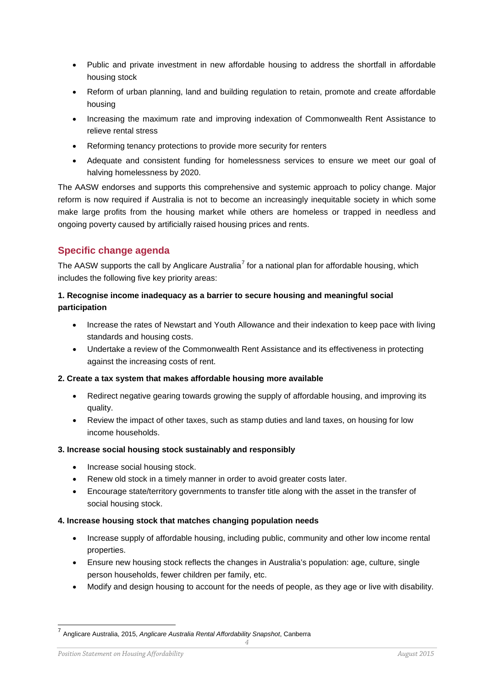- Public and private investment in new affordable housing to address the shortfall in affordable housing stock
- Reform of urban planning, land and building regulation to retain, promote and create affordable housing
- Increasing the maximum rate and improving indexation of Commonwealth Rent Assistance to relieve rental stress
- Reforming tenancy protections to provide more security for renters
- Adequate and consistent funding for homelessness services to ensure we meet our goal of halving homelessness by 2020.

The AASW endorses and supports this comprehensive and systemic approach to policy change. Major reform is now required if Australia is not to become an increasingly inequitable society in which some make large profits from the housing market while others are homeless or trapped in needless and ongoing poverty caused by artificially raised housing prices and rents.

# **Specific change agenda**

The AASW supports the call by Anglicare Australia<sup>[7](#page-3-0)</sup> for a national plan for affordable housing, which includes the following five key priority areas:

# **1. Recognise income inadequacy as a barrier to secure housing and meaningful social participation**

- Increase the rates of Newstart and Youth Allowance and their indexation to keep pace with living standards and housing costs.
- Undertake a review of the Commonwealth Rent Assistance and its effectiveness in protecting against the increasing costs of rent.

#### **2. Create a tax system that makes affordable housing more available**

- Redirect negative gearing towards growing the supply of affordable housing, and improving its quality.
- Review the impact of other taxes, such as stamp duties and land taxes, on housing for low income households.

#### **3. Increase social housing stock sustainably and responsibly**

- Increase social housing stock.
- Renew old stock in a timely manner in order to avoid greater costs later.
- Encourage state/territory governments to transfer title along with the asset in the transfer of social housing stock.

#### **4. Increase housing stock that matches changing population needs**

- Increase supply of affordable housing, including public, community and other low income rental properties.
- Ensure new housing stock reflects the changes in Australia's population: age, culture, single person households, fewer children per family, etc.
- Modify and design housing to account for the needs of people, as they age or live with disability.

<span id="page-3-0"></span> <sup>7</sup> Anglicare Australia, 2015, *Anglicare Australia Rental Affordability Snapshot*, Canberra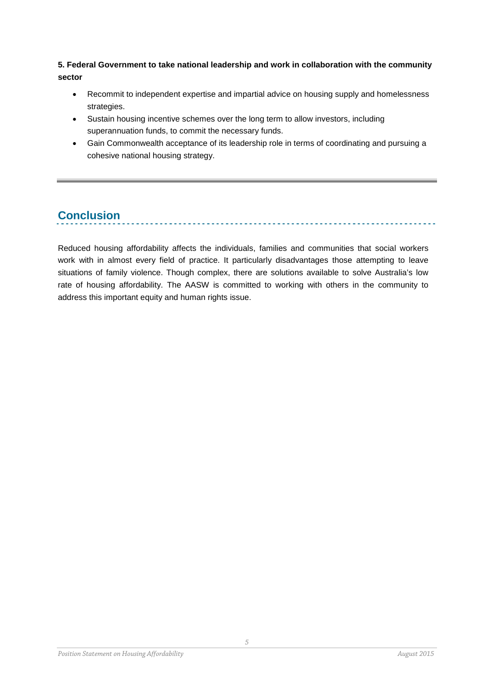# **5. Federal Government to take national leadership and work in collaboration with the community sector**

- Recommit to independent expertise and impartial advice on housing supply and homelessness strategies.
- Sustain housing incentive schemes over the long term to allow investors, including superannuation funds, to commit the necessary funds.
- Gain Commonwealth acceptance of its leadership role in terms of coordinating and pursuing a cohesive national housing strategy.

# **Conclusion**

Reduced housing affordability affects the individuals, families and communities that social workers work with in almost every field of practice. It particularly disadvantages those attempting to leave situations of family violence. Though complex, there are solutions available to solve Australia's low rate of housing affordability. The AASW is committed to working with others in the community to address this important equity and human rights issue.